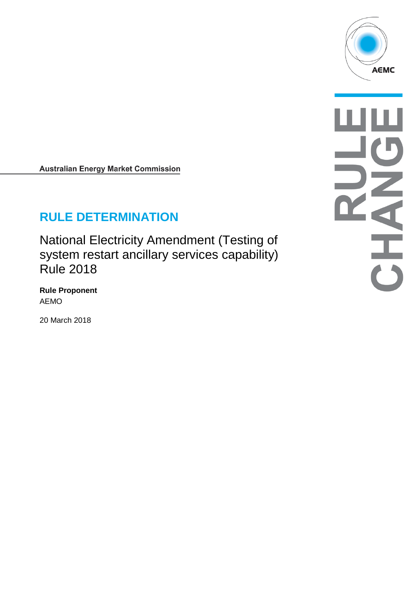

**Australian Energy Market Commission** 

# **RULE DETERMINATION**

National Electricity Amendment (Testing of system restart ancillary services capability) Rule 2018

**Rule Proponent** AEMO

20 March 2018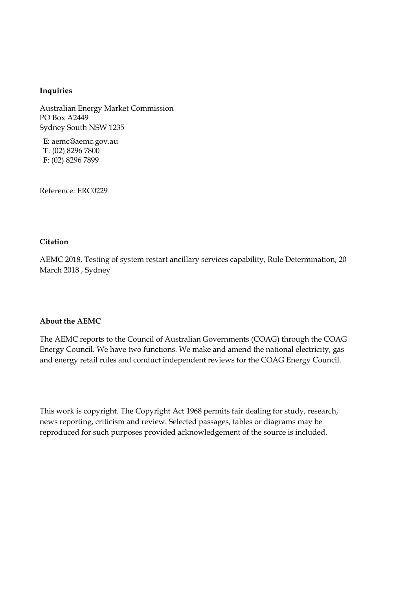#### **Inquiries**

Australian Energy Market Commission PO Box A2449 Sydney South NSW 1235

**E**: aemc@aemc.gov.au **T**: (02) 8296 7800 **F**: (02) 8296 7899

Reference: ERC0229

#### **Citation**

AEMC 2018, Testing of system restart ancillary services capability, Rule Determination, 20 March 2018 , Sydney

#### **About the AEMC**

The AEMC reports to the Council of Australian Governments (COAG) through the COAG Energy Council. We have two functions. We make and amend the national electricity, gas and energy retail rules and conduct independent reviews for the COAG Energy Council.

This work is copyright. The Copyright Act 1968 permits fair dealing for study, research, news reporting, criticism and review. Selected passages, tables or diagrams may be reproduced for such purposes provided acknowledgement of the source is included.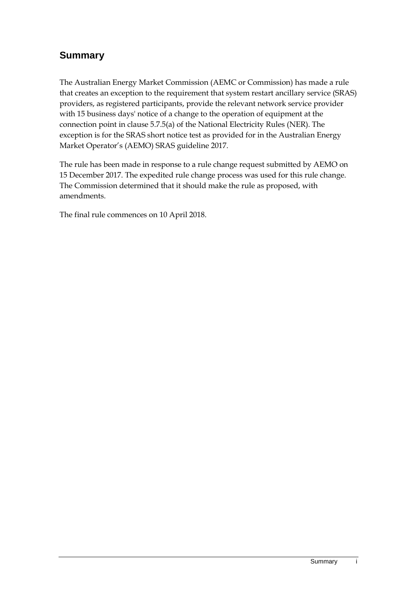## **Summary**

The Australian Energy Market Commission (AEMC or Commission) has made a rule that creates an exception to the requirement that system restart ancillary service (SRAS) providers, as registered participants, provide the relevant network service provider with 15 business days' notice of a change to the operation of equipment at the connection point in clause 5.7.5(a) of the National Electricity Rules (NER). The exception is for the SRAS short notice test as provided for in the Australian Energy Market Operator's (AEMO) SRAS guideline 2017.

The rule has been made in response to a rule change request submitted by AEMO on 15 December 2017. The expedited rule change process was used for this rule change. The Commission determined that it should make the rule as proposed, with amendments.

The final rule commences on 10 April 2018.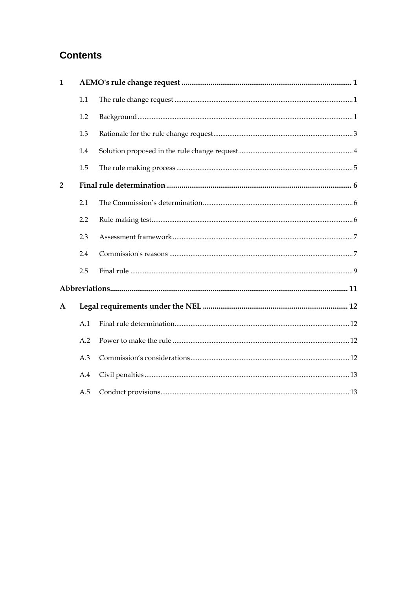## **Contents**

| $\mathbf{1}$   |     |  |  |  |
|----------------|-----|--|--|--|
|                | 1.1 |  |  |  |
|                | 1.2 |  |  |  |
|                | 1.3 |  |  |  |
|                | 1.4 |  |  |  |
|                | 1.5 |  |  |  |
| $\overline{2}$ |     |  |  |  |
|                | 2.1 |  |  |  |
|                | 2.2 |  |  |  |
|                | 2.3 |  |  |  |
|                | 2.4 |  |  |  |
|                | 2.5 |  |  |  |
|                |     |  |  |  |
| $\mathbf{A}$   |     |  |  |  |
|                | A.1 |  |  |  |
|                | A.2 |  |  |  |
|                | A.3 |  |  |  |
|                | A.4 |  |  |  |
|                | A.5 |  |  |  |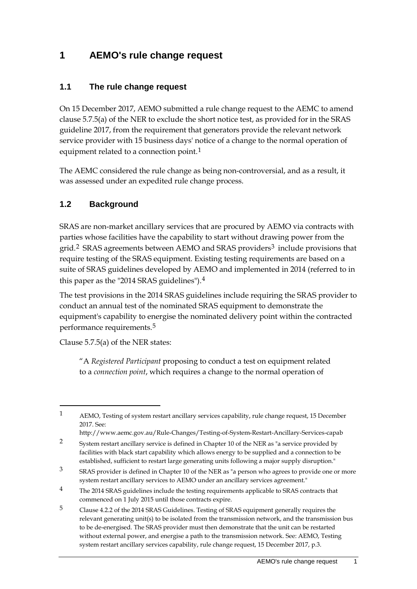### <span id="page-4-0"></span>**1 AEMO's rule change request**

#### <span id="page-4-1"></span>**1.1 The rule change request**

On 15 December 2017, AEMO submitted a rule change request to the AEMC to amend clause 5.7.5(a) of the NER to exclude the short notice test, as provided for in the SRAS guideline 2017, from the requirement that generators provide the relevant network service provider with 15 business days' notice of a change to the normal operation of equipment related to a connection point.<sup>[1](#page-4-3)</sup>

The AEMC considered the rule change as being non-controversial, and as a result, it was assessed under an expedited rule change process.

### <span id="page-4-2"></span>**1.2 Background**

SRAS are non-market ancillary services that are procured by AEMO via contracts with parties whose facilities have the capability to start without drawing power from the grid.<sup>[2](#page-4-4)</sup> SRAS agreements between AEMO and SRAS providers<sup>[3](#page-4-5)</sup> include provisions that require testing of the SRAS equipment. Existing testing requirements are based on a suite of SRAS guidelines developed by AEMO and implemented in 2014 (referred to in this paper as the "2014 SRAS guidelines").[4](#page-4-6)

The test provisions in the 2014 SRAS guidelines include requiring the SRAS provider to conduct an annual test of the nominated SRAS equipment to demonstrate the equipment's capability to energise the nominated delivery point within the contracted performance requirements.[5](#page-4-7)

Clause 5.7.5(a) of the NER states:

-

"A *Registered Participant* proposing to conduct a test on equipment related to a *connection point*, which requires a change to the normal operation of

<span id="page-4-3"></span>1 AEMO, Testing of system restart ancillary services capability, rule change request, 15 December 2017. See:

http://www.aemc.gov.au/Rule-Changes/Testing-of-System-Restart-Ancillary-Services-capab

<span id="page-4-4"></span><sup>2</sup> System restart ancillary service is defined in Chapter 10 of the NER as "a service provided by facilities with black start capability which allows energy to be supplied and a connection to be established, sufficient to restart large generating units following a major supply disruption."

<span id="page-4-5"></span><sup>3</sup> SRAS provider is defined in Chapter 10 of the NER as "a person who agrees to provide one or more system restart ancillary services to AEMO under an ancillary services agreement."

<span id="page-4-6"></span><sup>&</sup>lt;sup>4</sup> The 2014 SRAS guidelines include the testing requirements applicable to SRAS contracts that commenced on 1 July 2015 until those contracts expire.

<span id="page-4-7"></span><sup>5</sup> Clause 4.2.2 of the 2014 SRAS Guidelines. Testing of SRAS equipment generally requires the relevant generating unit(s) to be isolated from the transmission network, and the transmission bus to be de-energised. The SRAS provider must then demonstrate that the unit can be restarted without external power, and energise a path to the transmission network. See: AEMO, Testing system restart ancillary services capability, rule change request, 15 December 2017, p.3.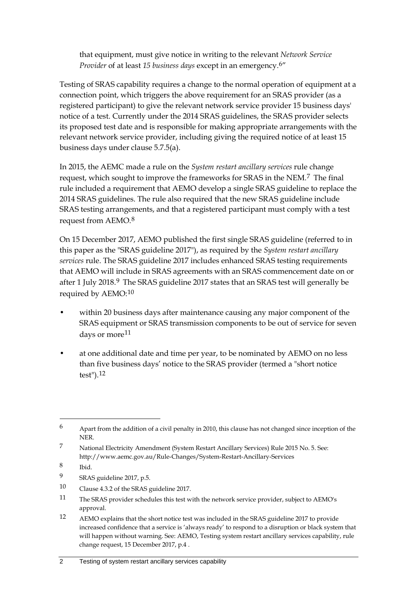that equipment, must give notice in writing to the relevant *Network Service Provider* of at least *15 business days* except in an emergency.[6](#page-5-0)"

Testing of SRAS capability requires a change to the normal operation of equipment at a connection point, which triggers the above requirement for an SRAS provider (as a registered participant) to give the relevant network service provider 15 business days' notice of a test. Currently under the 2014 SRAS guidelines, the SRAS provider selects its proposed test date and is responsible for making appropriate arrangements with the relevant network service provider, including giving the required notice of at least 15 business days under clause 5.7.5(a).

In 2015, the AEMC made a rule on the *System restart ancillary services* rule change request, which sought to improve the frameworks for SRAS in the NEM.[7](#page-5-1) The final rule included a requirement that AEMO develop a single SRAS guideline to replace the 2014 SRAS guidelines. The rule also required that the new SRAS guideline include SRAS testing arrangements, and that a registered participant must comply with a test request from AEMO.[8](#page-5-2)

On 15 December 2017, AEMO published the first single SRAS guideline (referred to in this paper as the "SRAS guideline 2017"), as required by the *System restart ancillary services* rule. The SRAS guideline 2017 includes enhanced SRAS testing requirements that AEMO will include in SRAS agreements with an SRAS commencement date on or after 1 July 2018.<sup>[9](#page-5-3)</sup> The SRAS guideline 2017 states that an SRAS test will generally be required by AEMO:[10](#page-5-4)

- within 20 business days after maintenance causing any major component of the SRAS equipment or SRAS transmission components to be out of service for seven days or more<sup>[11](#page-5-5)</sup>
- at one additional date and time per year, to be nominated by AEMO on no less than five business days' notice to the SRAS provider (termed a "short notice test").[12](#page-5-6)

- <span id="page-5-3"></span>9 SRAS guideline 2017, p.5.
- <span id="page-5-4"></span>10 Clause 4.3.2 of the SRAS guideline 2017.
- <span id="page-5-5"></span>11 The SRAS provider schedules this test with the network service provider, subject to AEMO's approval.
- <span id="page-5-6"></span>12 AEMO explains that the short notice test was included in the SRAS guideline 2017 to provide increased confidence that a service is 'always ready' to respond to a disruption or black system that will happen without warning. See: AEMO, Testing system restart ancillary services capability, rule change request, 15 December 2017, p.4 .

<span id="page-5-0"></span><sup>6</sup> Apart from the addition of a civil penalty in 2010, this clause has not changed since inception of the NER.

<span id="page-5-1"></span><sup>7</sup> National Electricity Amendment (System Restart Ancillary Services) Rule 2015 No. 5. See: http://www.aemc.gov.au/Rule-Changes/System-Restart-Ancillary-Services

<span id="page-5-2"></span><sup>8</sup> Ibid.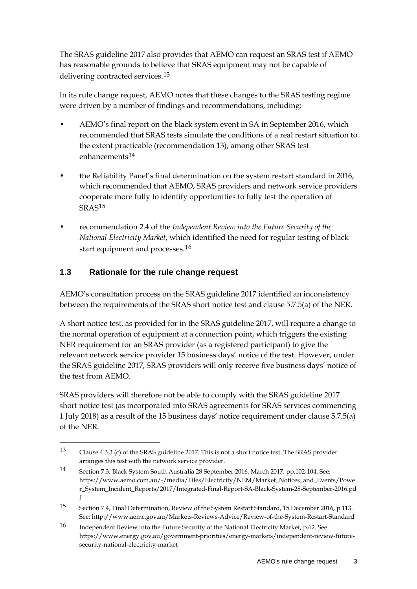The SRAS guideline 2017 also provides that AEMO can request an SRAS test if AEMO has reasonable grounds to believe that SRAS equipment may not be capable of delivering contracted services.<sup>[13](#page-6-1)</sup>

In its rule change request, AEMO notes that these changes to the SRAS testing regime were driven by a number of findings and recommendations, including:

- AEMO's final report on the black system event in SA in September 2016, which recommended that SRAS tests simulate the conditions of a real restart situation to the extent practicable (recommendation 13), among other SRAS test enhancements<sup>[14](#page-6-2)</sup>
- the Reliability Panel's final determination on the system restart standard in 2016, which recommended that AEMO, SRAS providers and network service providers cooperate more fully to identify opportunities to fully test the operation of SRAS[15](#page-6-3)
- recommendation 2.4 of the *Independent Review into the Future Security of the National Electricity Market*, which identified the need for regular testing of black start equipment and processes.[16](#page-6-4)

### <span id="page-6-0"></span>**1.3 Rationale for the rule change request**

-

AEMO's consultation process on the SRAS guideline 2017 identified an inconsistency between the requirements of the SRAS short notice test and clause 5.7.5(a) of the NER.

A short notice test, as provided for in the SRAS guideline 2017, will require a change to the normal operation of equipment at a connection point, which triggers the existing NER requirement for an SRAS provider (as a registered participant) to give the relevant network service provider 15 business days' notice of the test. However, under the SRAS guideline 2017, SRAS providers will only receive five business days' notice of the test from AEMO.

SRAS providers will therefore not be able to comply with the SRAS guideline 2017 short notice test (as incorporated into SRAS agreements for SRAS services commencing 1 July 2018) as a result of the 15 business days' notice requirement under clause 5.7.5(a) of the NER.

<span id="page-6-1"></span><sup>13</sup> Clause 4.3.3 (c) of the SRAS guideline 2017. This is not a short notice test. The SRAS provider arranges this test with the network service provider.

<span id="page-6-2"></span><sup>14</sup> Section 7.3, Black System South Australia 28 September 2016, March 2017, pp.102-104. See: https://www.aemo.com.au/-/media/Files/Electricity/NEM/Market\_Notices\_and\_Events/Powe r\_System\_Incident\_Reports/2017/Integrated-Final-Report-SA-Black-System-28-September-2016.pd f

<span id="page-6-3"></span><sup>15</sup> Section 7.4, Final Determination, Review of the System Restart Standard, 15 December 2016, p.113. See: http://www.aemc.gov.au/Markets-Reviews-Advice/Review-of-the-System-Restart-Standard

<span id="page-6-4"></span><sup>16</sup> Independent Review into the Future Security of the National Electricity Market, p.62. See: https://www.energy.gov.au/government-priorities/energy-markets/independent-review-futuresecurity-national-electricity-market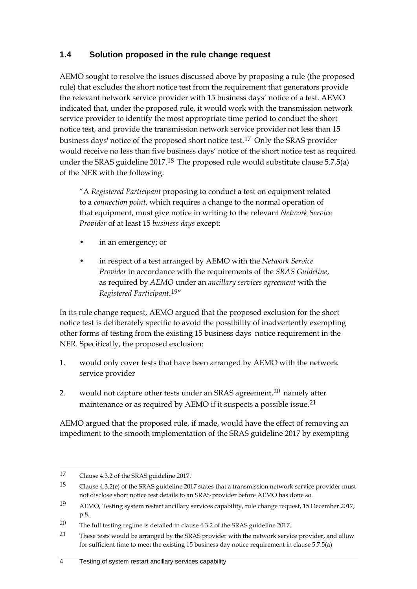### <span id="page-7-0"></span>**1.4 Solution proposed in the rule change request**

AEMO sought to resolve the issues discussed above by proposing a rule (the proposed rule) that excludes the short notice test from the requirement that generators provide the relevant network service provider with 15 business days' notice of a test. AEMO indicated that, under the proposed rule, it would work with the transmission network service provider to identify the most appropriate time period to conduct the short notice test, and provide the transmission network service provider not less than 15 business days' notice of the proposed short notice test.[17](#page-7-1) Only the SRAS provider would receive no less than five business days' notice of the short notice test as required under the SRAS guideline  $2017<sup>18</sup>$  $2017<sup>18</sup>$  $2017<sup>18</sup>$  The proposed rule would substitute clause 5.7.5(a) of the NER with the following:

"A *Registered Participant* proposing to conduct a test on equipment related to a *connection point*, which requires a change to the normal operation of that equipment, must give notice in writing to the relevant *Network Service Provider* of at least 15 *business days* except:

- in an emergency; or
- in respect of a test arranged by AEMO with the *Network Service Provider* in accordance with the requirements of the *SRAS Guideline*, as required by *AEMO* under an *ancillary services agreement* with the *Registered Participant*.[19"](#page-7-3)

In its rule change request, AEMO argued that the proposed exclusion for the short notice test is deliberately specific to avoid the possibility of inadvertently exempting other forms of testing from the existing 15 business days' notice requirement in the NER. Specifically, the proposed exclusion:

- 1. would only cover tests that have been arranged by AEMO with the network service provider
- 2. would not capture other tests under an SRAS agreement, $20$  namely after maintenance or as required by AEMO if it suspects a possible issue.[21](#page-7-5)

AEMO argued that the proposed rule, if made, would have the effect of removing an impediment to the smooth implementation of the SRAS guideline 2017 by exempting

<span id="page-7-1"></span><sup>17</sup> Clause 4.3.2 of the SRAS guideline 2017.

<span id="page-7-2"></span><sup>18</sup> Clause 4.3.2(e) of the SRAS guideline 2017 states that a transmission network service provider must not disclose short notice test details to an SRAS provider before AEMO has done so.

<span id="page-7-3"></span><sup>19</sup> AEMO, Testing system restart ancillary services capability, rule change request, 15 December 2017, p.8.

<span id="page-7-4"></span><sup>20</sup> The full testing regime is detailed in clause 4.3.2 of the SRAS guideline 2017.

<span id="page-7-5"></span><sup>21</sup> These tests would be arranged by the SRAS provider with the network service provider, and allow for sufficient time to meet the existing 15 business day notice requirement in clause 5.7.5(a)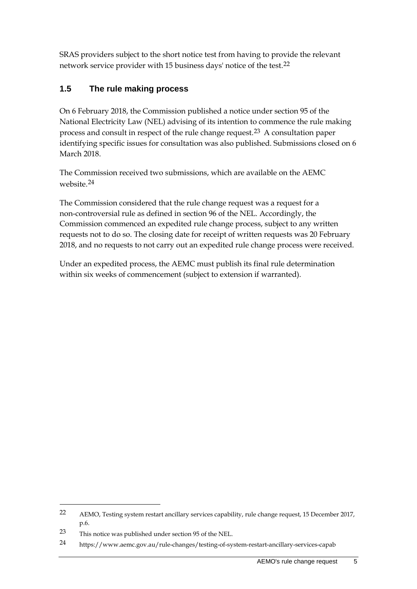SRAS providers subject to the short notice test from having to provide the relevant network service provider with 15 business days' notice of the test.[22](#page-8-1)

### <span id="page-8-0"></span>**1.5 The rule making process**

On 6 February 2018, the Commission published a notice under section 95 of the National Electricity Law (NEL) advising of its intention to commence the rule making process and consult in respect of the rule change request.[23](#page-8-2) A consultation paper identifying specific issues for consultation was also published. Submissions closed on 6 March 2018.

The Commission received two submissions, which are available on the AEMC website.[24](#page-8-3)

The Commission considered that the rule change request was a request for a non-controversial rule as defined in section 96 of the NEL. Accordingly, the Commission commenced an expedited rule change process, subject to any written requests not to do so. The closing date for receipt of written requests was 20 February 2018, and no requests to not carry out an expedited rule change process were received.

Under an expedited process, the AEMC must publish its final rule determination within six weeks of commencement (subject to extension if warranted).

<span id="page-8-1"></span><sup>22</sup> AEMO, Testing system restart ancillary services capability, rule change request, 15 December 2017, p.6.

<span id="page-8-2"></span><sup>23</sup> This notice was published under section 95 of the NEL.

<span id="page-8-3"></span><sup>24</sup> https://www.aemc.gov.au/rule-changes/testing-of-system-restart-ancillary-services-capab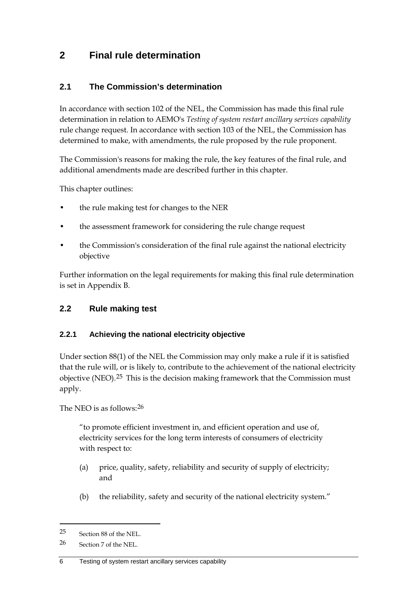### <span id="page-9-0"></span>**2 Final rule determination**

#### <span id="page-9-1"></span>**2.1 The Commission's determination**

In accordance with section 102 of the NEL, the Commission has made this final rule determination in relation to AEMO's *Testing of system restart ancillary services capability*  rule change request. In accordance with section 103 of the NEL, the Commission has determined to make, with amendments, the rule proposed by the rule proponent.

The Commission's reasons for making the rule, the key features of the final rule, and additional amendments made are described further in this chapter.

This chapter outlines:

- the rule making test for changes to the NER
- the assessment framework for considering the rule change request
- the Commission's consideration of the final rule against the national electricity objective

Further information on the legal requirements for making this final rule determination is set in Appendix B.

#### <span id="page-9-2"></span>**2.2 Rule making test**

#### **2.2.1 Achieving the national electricity objective**

Under section 88(1) of the NEL the Commission may only make a rule if it is satisfied that the rule will, or is likely to, contribute to the achievement of the national electricity objective (NEO).<sup>[25](#page-9-3)</sup> This is the decision making framework that the Commission must apply.

The NEO is as follows:[26](#page-9-4)

"to promote efficient investment in, and efficient operation and use of, electricity services for the long term interests of consumers of electricity with respect to:

- (a) price, quality, safety, reliability and security of supply of electricity; and
- (b) the reliability, safety and security of the national electricity system."

<span id="page-9-3"></span><sup>25</sup> Section 88 of the NEL.

<span id="page-9-4"></span><sup>26</sup> Section 7 of the NEL.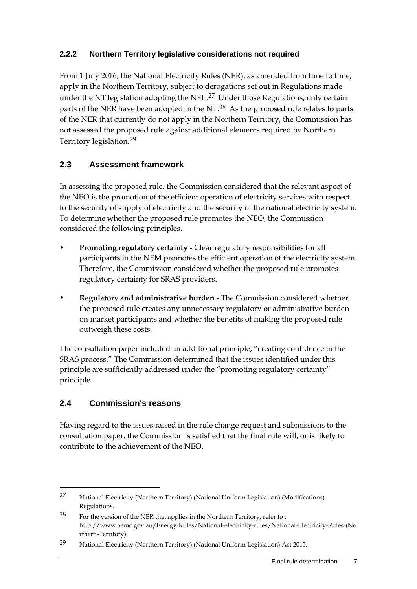#### **2.2.2 Northern Territory legislative considerations not required**

From 1 July 2016, the National Electricity Rules (NER), as amended from time to time, apply in the Northern Territory, subject to derogations set out in Regulations made under the NT legislation adopting the NEL.<sup>[27](#page-10-2)</sup> Under those Regulations, only certain parts of the NER have been adopted in the NT.<sup>[28](#page-10-3)</sup> As the proposed rule relates to parts of the NER that currently do not apply in the Northern Territory, the Commission has not assessed the proposed rule against additional elements required by Northern Territory legislation.[29](#page-10-4)

### <span id="page-10-0"></span>**2.3 Assessment framework**

In assessing the proposed rule, the Commission considered that the relevant aspect of the NEO is the promotion of the efficient operation of electricity services with respect to the security of supply of electricity and the security of the national electricity system. To determine whether the proposed rule promotes the NEO, the Commission considered the following principles.

- **Promoting regulatory certainty** Clear regulatory responsibilities for all participants in the NEM promotes the efficient operation of the electricity system. Therefore, the Commission considered whether the proposed rule promotes regulatory certainty for SRAS providers.
- **Regulatory and administrative burden** The Commission considered whether the proposed rule creates any unnecessary regulatory or administrative burden on market participants and whether the benefits of making the proposed rule outweigh these costs.

The consultation paper included an additional principle, "creating confidence in the SRAS process." The Commission determined that the issues identified under this principle are sufficiently addressed under the "promoting regulatory certainty" principle.

### <span id="page-10-1"></span>**2.4 Commission's reasons**

-

Having regard to the issues raised in the rule change request and submissions to the consultation paper, the Commission is satisfied that the final rule will, or is likely to contribute to the achievement of the NEO.

<span id="page-10-2"></span><sup>27</sup> National Electricity (Northern Territory) (National Uniform Legislation) (Modifications) Regulations.

<span id="page-10-3"></span> $28$  For the version of the NER that applies in the Northern Territory, refer to : http://www.aemc.gov.au/Energy-Rules/National-electricity-rules/National-Electricity-Rules-(No rthern-Territory).

<span id="page-10-4"></span><sup>29</sup> National Electricity (Northern Territory) (National Uniform Legislation) Act 2015.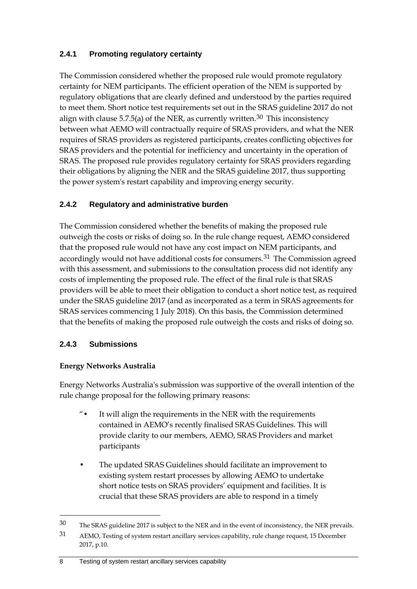#### **2.4.1 Promoting regulatory certainty**

The Commission considered whether the proposed rule would promote regulatory certainty for NEM participants. The efficient operation of the NEM is supported by regulatory obligations that are clearly defined and understood by the parties required to meet them. Short notice test requirements set out in the SRAS guideline 2017 do not align with clause 5.7.5(a) of the NER, as currently written.<sup>[30](#page-11-0)</sup> This inconsistency between what AEMO will contractually require of SRAS providers, and what the NER requires of SRAS providers as registered participants, creates conflicting objectives for SRAS providers and the potential for inefficiency and uncertainty in the operation of SRAS. The proposed rule provides regulatory certainty for SRAS providers regarding their obligations by aligning the NER and the SRAS guideline 2017, thus supporting the power system's restart capability and improving energy security.

#### **2.4.2 Regulatory and administrative burden**

The Commission considered whether the benefits of making the proposed rule outweigh the costs or risks of doing so. In the rule change request, AEMO considered that the proposed rule would not have any cost impact on NEM participants, and accordingly would not have additional costs for consumers.<sup>[31](#page-11-1)</sup> The Commission agreed with this assessment, and submissions to the consultation process did not identify any costs of implementing the proposed rule. The effect of the final rule is that SRAS providers will be able to meet their obligation to conduct a short notice test, as required under the SRAS guideline 2017 (and as incorporated as a term in SRAS agreements for SRAS services commencing 1 July 2018). On this basis, the Commission determined that the benefits of making the proposed rule outweigh the costs and risks of doing so.

#### **2.4.3 Submissions**

#### **Energy Networks Australia**

Energy Networks Australia's submission was supportive of the overall intention of the rule change proposal for the following primary reasons:

- "• It will align the requirements in the NER with the requirements contained in AEMO's recently finalised SRAS Guidelines. This will provide clarity to our members, AEMO, SRAS Providers and market participants
- The updated SRAS Guidelines should facilitate an improvement to existing system restart processes by allowing AEMO to undertake short notice tests on SRAS providers' equipment and facilities. It is crucial that these SRAS providers are able to respond in a timely

<span id="page-11-1"></span><span id="page-11-0"></span><sup>30</sup> The SRAS guideline 2017 is subject to the NER and in the event of inconsistency, the NER prevails. 31 AEMO, Testing of system restart ancillary services capability, rule change request, 15 December 2017, p.10.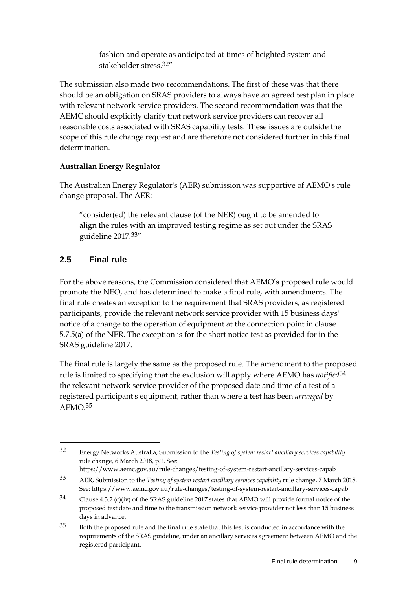fashion and operate as anticipated at times of heighted system and stakeholder stress.[32](#page-12-1)"

The submission also made two recommendations. The first of these was that there should be an obligation on SRAS providers to always have an agreed test plan in place with relevant network service providers. The second recommendation was that the AEMC should explicitly clarify that network service providers can recover all reasonable costs associated with SRAS capability tests. These issues are outside the scope of this rule change request and are therefore not considered further in this final determination.

#### **Australian Energy Regulator**

The Australian Energy Regulator's (AER) submission was supportive of AEMO's rule change proposal. The AER:

"consider(ed) the relevant clause (of the NER) ought to be amended to align the rules with an improved testing regime as set out under the SRAS guideline 2017.[33"](#page-12-2)

### <span id="page-12-0"></span>**2.5 Final rule**

-

For the above reasons, the Commission considered that AEMO's proposed rule would promote the NEO, and has determined to make a final rule, with amendments. The final rule creates an exception to the requirement that SRAS providers, as registered participants, provide the relevant network service provider with 15 business days' notice of a change to the operation of equipment at the connection point in clause 5.7.5(a) of the NER. The exception is for the short notice test as provided for in the SRAS guideline 2017.

The final rule is largely the same as the proposed rule. The amendment to the proposed rule is limited to specifying that the exclusion will apply where AEMO has *notified*[34](#page-12-3) the relevant network service provider of the proposed date and time of a test of a registered participant's equipment, rather than where a test has been *arranged* by AEMO.[35](#page-12-4)

<span id="page-12-1"></span><sup>32</sup> Energy Networks Australia, Submission to the *Testing of system restart ancillary services capability* rule change, 6 March 2018, p.1. See: https://www.aemc.gov.au/rule-changes/testing-of-system-restart-ancillary-services-capab

<span id="page-12-2"></span><sup>33</sup> AER, Submission to the *Testing of system restart ancillary services capability* rule change, 7 March 2018. See: https://www.aemc.gov.au/rule-changes/testing-of-system-restart-ancillary-services-capab

<span id="page-12-3"></span><sup>34</sup> Clause 4.3.2 (c)(iv) of the SRAS guideline 2017 states that AEMO will provide formal notice of the proposed test date and time to the transmission network service provider not less than 15 business days in advance.

<span id="page-12-4"></span><sup>35</sup> Both the proposed rule and the final rule state that this test is conducted in accordance with the requirements of the SRAS guideline, under an ancillary services agreement between AEMO and the registered participant.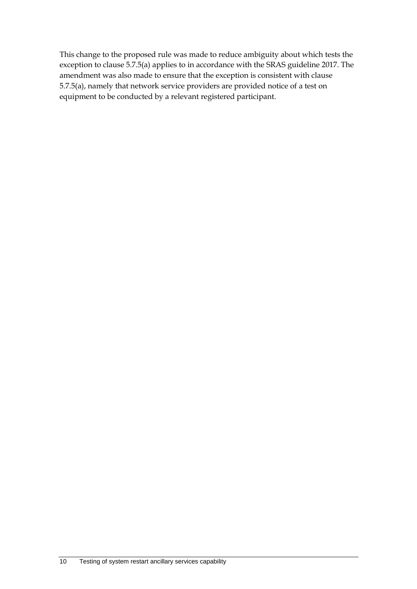This change to the proposed rule was made to reduce ambiguity about which tests the exception to clause 5.7.5(a) applies to in accordance with the SRAS guideline 2017. The amendment was also made to ensure that the exception is consistent with clause 5.7.5(a), namely that network service providers are provided notice of a test on equipment to be conducted by a relevant registered participant.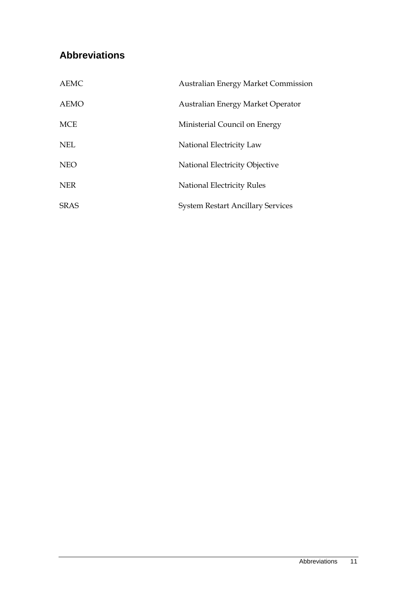## <span id="page-14-0"></span>**Abbreviations**

| <b>AEMC</b> | <b>Australian Energy Market Commission</b> |
|-------------|--------------------------------------------|
| <b>AEMO</b> | Australian Energy Market Operator          |
| <b>MCE</b>  | Ministerial Council on Energy              |
| <b>NEL</b>  | National Electricity Law                   |
| <b>NEO</b>  | National Electricity Objective             |
| <b>NER</b>  | National Electricity Rules                 |
| <b>SRAS</b> | <b>System Restart Ancillary Services</b>   |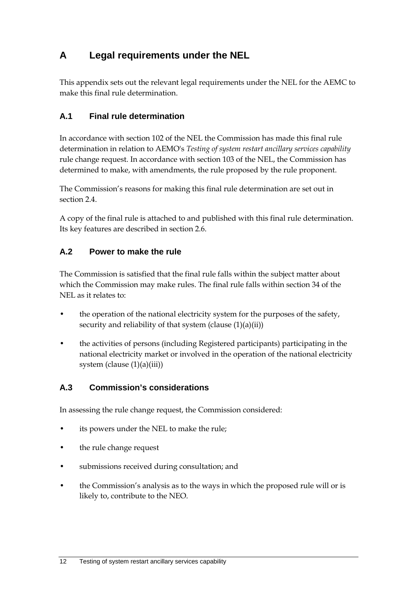## <span id="page-15-0"></span>**A Legal requirements under the NEL**

This appendix sets out the relevant legal requirements under the NEL for the AEMC to make this final rule determination.

### <span id="page-15-1"></span>**A.1 Final rule determination**

In accordance with section 102 of the NEL the Commission has made this final rule determination in relation to AEMO's *Testing of system restart ancillary services capability*  rule change request. In accordance with section 103 of the NEL, the Commission has determined to make, with amendments, the rule proposed by the rule proponent.

The Commission's reasons for making this final rule determination are set out in section 2.4.

A copy of the final rule is attached to and published with this final rule determination. Its key features are described in section 2.6.

### <span id="page-15-2"></span>**A.2 Power to make the rule**

The Commission is satisfied that the final rule falls within the subject matter about which the Commission may make rules. The final rule falls within section 34 of the NEL as it relates to:

- the operation of the national electricity system for the purposes of the safety, security and reliability of that system (clause  $(1)(a)(ii)$ )
- the activities of persons (including Registered participants) participating in the national electricity market or involved in the operation of the national electricity system (clause  $(1)(a)(iii)$ )

#### <span id="page-15-3"></span>**A.3 Commission's considerations**

In assessing the rule change request, the Commission considered:

- its powers under the NEL to make the rule;
- the rule change request
- submissions received during consultation; and
- the Commission's analysis as to the ways in which the proposed rule will or is likely to, contribute to the NEO.